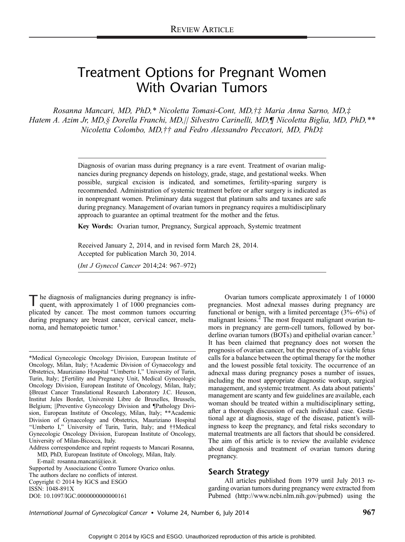# Treatment Options for Pregnant Women With Ovarian Tumors

Rosanna Mancari, MD, PhD,\* Nicoletta Tomasi-Cont, MD, $\ddagger\ddagger$  Maria Anna Sarno, MD, $\ddagger$ Hatem A. Azim Jr, MD,§ Dorella Franchi, MD,|| Silvestro Carinelli, MD,¶ Nicoletta Biglia, MD, PhD,\*\* Nicoletta Colombo, MD,†† and Fedro Alessandro Peccatori, MD, PhD‡

> Diagnosis of ovarian mass during pregnancy is a rare event. Treatment of ovarian malignancies during pregnancy depends on histology, grade, stage, and gestational weeks. When possible, surgical excision is indicated, and sometimes, fertility-sparing surgery is recommended. Administration of systemic treatment before or after surgery is indicated as in nonpregnant women. Preliminary data suggest that platinum salts and taxanes are safe during pregnancy. Management of ovarian tumors in pregnancy requires a multidisciplinary approach to guarantee an optimal treatment for the mother and the fetus.

Key Words: Ovarian tumor, Pregnancy, Surgical approach, Systemic treatment

Received January 2, 2014, and in revised form March 28, 2014. Accepted for publication March 30, 2014.

 $(Int J Gynecol Cancer 2014;24: 967–972)$ 

The diagnosis of malignancies during pregnancy is infre-quent, with approximately 1 of 1000 pregnancies complicated by cancer. The most common tumors occurring during pregnancy are breast cancer, cervical cancer, melanoma, and hematopoietic tumor.<sup>1</sup>

\*Medical Gynecologic Oncology Division, European Institute of Oncology, Milan, Italy; †Academic Division of Gynaecology and Obstetrics, Mauriziano Hospital ''Umberto I,'' University of Turin, Turin, Italy; ‡Fertility and Pregnancy Unit, Medical Gynecologic Oncology Division, European Institute of Oncology, Milan, Italy; §Breast Cancer Translational Research Laboratory J.C. Heuson, Institut Jules Bordet, Université Libre de Bruxelles, Brussels, Belgium; ||Preventive Gynecology Division and ¶Pathology Division, European Institute of Oncology, Milan, Italy; \*\*Academic Division of Gynaecology and Obstetrics, Mauriziano Hospital ''Umberto I,'' University of Turin, Turin, Italy; and ††Medical Gynecologic Oncology Division, European Institute of Oncology, University of Milan-Bicocca, Italy.

Address correspondence and reprint requests to Mancari Rosanna,

MD, PhD, European Institute of Oncology, Milan, Italy.

E-mail: rosanna.mancari@ieo.it.

Supported by Associazione Contro Tumore Ovarico onlus. The authors declare no conflicts of interest. Copyright  $©$  2014 by IGCS and ESGO ISSN: 1048-891X DOI: 10.1097/IGC.0000000000000161

Ovarian tumors complicate approximately 1 of 10000 pregnancies. Most adnexal masses during pregnancy are functional or benign, with a limited percentage  $(3\% - 6\%)$  of malignant lesions.<sup>2</sup> The most frequent malignant ovarian tumors in pregnancy are germ-cell tumors, followed by borderline ovarian tumors (BOTs) and epithelial ovarian cancer.<sup>3</sup> It has been claimed that pregnancy does not worsen the prognosis of ovarian cancer, but the presence of a viable fetus calls for a balance between the optimal therapy for the mother and the lowest possible fetal toxicity. The occurrence of an adnexal mass during pregnancy poses a number of issues, including the most appropriate diagnostic workup, surgical management, and systemic treatment. As data about patients' management are scanty and few guidelines are available, each woman should be treated within a multidisciplinary setting, after a thorough discussion of each individual case. Gestational age at diagnosis, stage of the disease, patient's willingness to keep the pregnancy, and fetal risks secondary to maternal treatments are all factors that should be considered. The aim of this article is to review the available evidence about diagnosis and treatment of ovarian tumors during pregnancy.

#### Search Strategy

All articles published from 1979 until July 2013 regarding ovarian tumors during pregnancy were extracted from Pubmed (http://www.ncbi.nlm.nih.gov/pubmed) using the

International Journal of Gynecological Cancer • Volume 24, Number 6, July 2014 967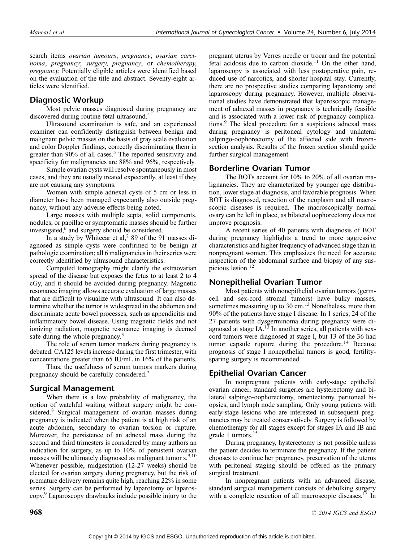search items ovarian tumours, pregnancy; ovarian carcinoma, pregnancy; surgery, pregnancy; or chemotherapy, pregnancy. Potentially eligible articles were identified based on the evaluation of the title and abstract. Seventy-eight articles were identified.

# Diagnostic Workup

Most pelvic masses diagnosed during pregnancy are discovered during routine fetal ultrasound.<sup>4</sup>

Ultrasound examination is safe, and an experienced examiner can confidently distinguish between benign and malignant pelvic masses on the basis of gray scale evaluation and color Doppler findings, correctly discriminating them in greater than  $90\%$  of all cases.<sup>5</sup> The reported sensitivity and specificity for malignancies are 88% and 96%, respectively.

Simple ovarian cysts will resolve spontaneously in most cases, and they are usually treated expectantly, at least if they are not causing any symptoms.

Women with simple adnexal cysts of 5 cm or less in diameter have been managed expectantly also outside pregnancy, without any adverse effects being noted.

Large masses with multiple septa, solid components, nodules, or papillae or symptomatic masses should be further investigated, $6$  and surgery should be considered.

In a study by Whitecar et al,<sup>2</sup> 89 of the 91 masses diagnosed as simple cysts were confirmed to be benign at pathologic examination; all 6 malignancies in their series were correctly identified by ultrasound characteristics.

Computed tomography might clarify the extraovarian spread of the disease but exposes the fetus to at least 2 to 4 cGy, and it should be avoided during pregnancy. Magnetic resonance imaging allows accurate evaluation of large masses that are difficult to visualize with ultrasound. It can also determine whether the tumor is widespread in the abdomen and discriminate acute bowel processes, such as appendicitis and inflammatory bowel disease. Using magnetic fields and not ionizing radiation, magnetic resonance imaging is deemed safe during the whole pregnancy.<sup>3</sup>

The role of serum tumor markers during pregnancy is debated. CA125 levels increase during the first trimester, with concentrations greater than 65 IU/mL in 16% of the patients.

Thus, the usefulness of serum tumors markers during pregnancy should be carefully considered.<sup>7</sup>

# Surgical Management

When there is a low probability of malignancy, the option of watchful waiting without surgery might be considered.<sup>8</sup> Surgical management of ovarian masses during pregnancy is indicated when the patient is at high risk of an acute abdomen, secondary to ovarian torsion or rupture. Moreover, the persistence of an adnexal mass during the second and third trimesters is considered by many authors an indication for surgery, as up to 10% of persistent ovarian masses will be ultimately diagnosed as malignant tumor s.<sup>9,10</sup> Whenever possible, midgestation (12-27 weeks) should be elected for ovarian surgery during pregnancy, but the risk of premature delivery remains quite high, reaching 22% in some series. Surgery can be performed by laparotomy or laparoscopy.<sup>9</sup> Laparoscopy drawbacks include possible injury to the

pregnant uterus by Verres needle or trocar and the potential fetal acidosis due to carbon dioxide.<sup>11</sup> On the other hand, laparoscopy is associated with less postoperative pain, reduced use of narcotics, and shorter hospital stay. Currently, there are no prospective studies comparing laparotomy and laparoscopy during pregnancy. However, multiple observational studies have demonstrated that laparoscopic management of adnexal masses in pregnancy is technically feasible and is associated with a lower risk of pregnancy complications.<sup>9</sup> The ideal procedure for a suspicious adnexal mass during pregnancy is peritoneal cytology and unilateral salpingo-oophorectomy of the affected side with frozensection analysis. Results of the frozen section should guide further surgical management.

# Borderline Ovarian Tumor

The BOTs account for 10% to 20% of all ovarian malignancies. They are characterized by younger age distribution, lower stage at diagnosis, and favorable prognosis. When BOT is diagnosed, resection of the neoplasm and all macroscopic diseases is required. The macroscopically normal ovary can be left in place, as bilateral oophorectomy does not improve prognosis.

A recent series of 40 patients with diagnosis of BOT during pregnancy highlights a trend to more aggressive characteristics and higher frequency of advanced stage than in nonpregnant women. This emphasizes the need for accurate inspection of the abdominal surface and biopsy of any suspicious lesion.<sup>12</sup>

### Nonepithelial Ovarian Tumor

Most patients with nonepithelial ovarian tumors (germcell and sex-cord stromal tumors) have bulky masses, sometimes measuring up to  $30 \text{ cm}^{13}$  Nonetheless, more than 90% of the patients have stage I disease. In 1 series, 24 of the 27 patients with dysgerminoma during pregnancy were diagnosed at stage  $IA.13$  In another series, all patients with sexcord tumors were diagnosed at stage I, but 13 of the 36 had tumor capsule rupture during the procedure.<sup>14</sup> Because prognosis of stage I nonepithelial tumors is good, fertilitysparing surgery is recommended.

# Epithelial Ovarian Cancer

In nonpregnant patients with early-stage epithelial ovarian cancer, standard surgeries are hysterectomy and bilateral salpingo-oophorectomy, omentectomy, peritoneal biopsies, and lymph node sampling. Only young patients with early-stage lesions who are interested in subsequent pregnancies may be treated conservatively. Surgery is followed by chemotherapy for all stages except for stages IA and IB and grade 1 tumors.<sup>15</sup>

During pregnancy, hysterectomy is not possible unless the patient decides to terminate the pregnancy. If the patient chooses to continue her pregnancy, preservation of the uterus with peritoneal staging should be offered as the primary surgical treatment.

In nonpregnant patients with an advanced disease, standard surgical management consists of debulking surgery with a complete resection of all macroscopic diseases.<sup>15</sup> In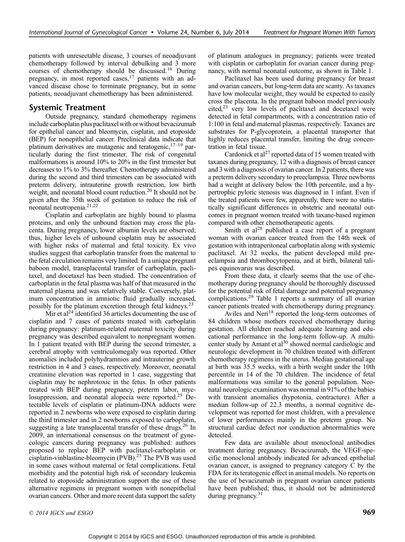patients with unresectable disease, 3 courses of neoadjuvant chemotherapy followed by interval debulking and 3 more courses of chemotherapy should be discussed.<sup>16</sup> During pregnancy, in most reported cases,<sup>17</sup> patients with an advanced disease chose to terminate pregnancy, but in some patients, neoadjuvant chemotherapy has been administered.

## Systemic Treatment

Outside pregnancy, standard chemotherapy regimens include carboplatin plus paclitaxelwith or without bevacizumab for epithelial cancer and bleomycin, cisplatin, and etoposide (BEP) for nonepithelial cancer. Preclinical data indicate that platinum derivatives are mutagenic and teratogenic,  $17-19$  particularly during the first trimester. The risk of congenital malformations is around 10% to 20% in the first trimester but decreases to 1% to 3% thereafter. Chemotherapy administered during the second and third trimesters can be associated with preterm delivery, intrauterine growth restriction, low birth weight, and neonatal blood count reduction.<sup>20</sup> It should not be given after the 35th week of gestation to reduce the risk of neonatal neutropenia.21,22

Cisplatin and carboplatin are highly bound to plasma proteins, and only the unbound fraction may cross the placenta. During pregnancy, lower albumin levels are observed; thus, higher levels of unbound cisplatin may be associated with higher risks of maternal and fetal toxicity. Ex vivo studies suggest that carboplatin transfer from the maternal to the fetal circulation remains very limited. In a unique pregnant baboon model, transplacental transfer of carboplatin, paclitaxel, and docetaxel has been studied. The concentration of carboplatin in the fetal plasma was half of that measured in the maternal plasma and was relatively stable. Conversely, platinum concentration in amniotic fluid gradually increased, possibly for the platinum excretion through fetal kidneys.23

Mir et al<sup>24</sup> identified 36 articles documenting the use of cisplatin and 7 cases of patients treated with carboplatin during pregnancy: platinum-related maternal toxicity during pregnancy was described equivalent to nonpregnant women. In 1 patient treated with BEP during the second trimester, a cerebral atrophy with ventriculomegaly was reported. Other anomalies included polyhydramnios and intrauterine growth restriction in 4 and 3 cases, respectively. Moreover, neonatal creatinine elevation was reported in 1 case, suggesting that cisplatin may be nephrotoxic in the fetus. In other patients treated with BEP during pregnancy, preterm labor, myelosuppression, and neonatal alopecia were reported.<sup>25</sup> Detectable levels of cisplatin or platinum-DNA adducts were reported in 2 newborns who were exposed to cisplatin during the third trimester and in 2 newborns exposed to carboplatin, suggesting a late transplacental transfer of these drugs.<sup>26</sup> In 2009, an international consensus on the treatment of gynecologic cancers during pregnancy was published: authors proposed to replace BEP with paclitaxel-carboplatin or cisplatin-vinblastine-bleomycin (PVB).<sup>25</sup> The PVB was used in some cases without maternal or fetal complications. Fetal morbidity and the potential high risk of secondary leukemia related to etoposide administration support the use of these alternative regimens in pregnant women with nonepithelial ovarian cancers. Other and more recent data support the safety

of platinum analogues in pregnancy; patients were treated with cisplatin or carboplatin for ovarian cancer during pregnancy, with normal neonatal outcome, as shown in Table 1.

Paclitaxel has been used during pregnancy for breast and ovarian cancers, but long-term data are scanty. As taxanes have low molecular weight, they would be expected to easily cross the placenta. In the pregnant baboon model previously cited,<sup>23</sup> very low levels of paclitaxel and docetaxel were detected in fetal compartments, with a concentration ratio of 1:100 in fetal and maternal plasmas, respectively. Taxanes are substrates for P-glycoprotein, a placental transporter that highly reduces placental transfer, limiting the drug concentration in fetal tissue.

Cardonick et al<sup>27</sup> reported data of 15 women treated with taxanes during pregnancy, 12 with a diagnosis of breast cancer and 3 with a diagnosis of ovarian cancer. In 2 patients, there was a preterm delivery secondary to preeclampsia. Three newborns had a weight at delivery below the 10th percentile, and a hypertrophic pyloric stenosis was diagnosed in 1 infant. Even if the treated patients were few, apparently, there were no statistically significant differences in obstetric and neonatal outcomes in pregnant women treated with taxane-based regimen compared with other chemotherapeutic agents.

Smith et  $al^{28}$  published a case report of a pregnant woman with ovarian cancer treated from the 14th week of gestation with intraperitoneal carboplatin along with systemic paclitaxel. At 32 weeks, the patient developed mild preeclampsia and thrombocytopenia, and at birth, bilateral talipes equinovarus was described.

From these data, it clearly seems that the use of chemotherapy during pregnancy should be thoroughly discussed for the potential risk of fetal damage and potential pregnancy complications.<sup>29</sup> Table 1 reports a summary of all ovarian cancer patients treated with chemotherapy during pregnancy.

Aviles and Neri<sup>18</sup> reported the long-term outcomes of 84 children whose mothers received chemotherapy during gestation. All children reached adequate learning and educational performance in the long-term follow-up. A multicenter study by Amant et al<sup>30</sup> showed normal cardiologic and neurologic development in 70 children treated with different chemotherapy regimens in the uterus. Median gestational age at birth was 35.5 weeks, with a birth weight under the 10th percentile in 14 of the 70 children. The incidence of fetal malformations was similar to the general population. Neonatal neurologic examination was normal in 91% of the babies with transient anomalies (hypotonia, contracture). After a median follow-up of 22.3 months, a normal cognitive development was reported for most children, with a prevalence of lower performances mainly in the preterm group. No structural cardiac defect nor conduction abnormalities were detected.

Few data are available about monoclonal antibodies treatment during pregnancy. Bevacizumab, the VEGF-specific monoclonal antibody indicated for advanced epithelial ovarian cancer, is assigned to pregnancy category C by the FDA for its teratogenic effect in animal models. No reports on the use of bevacizumab in pregnant ovarian cancer patients have been published; thus, it should not be administered during pregnancy.<sup>31</sup>

 $\degree$  2014 IGCS and ESGO 969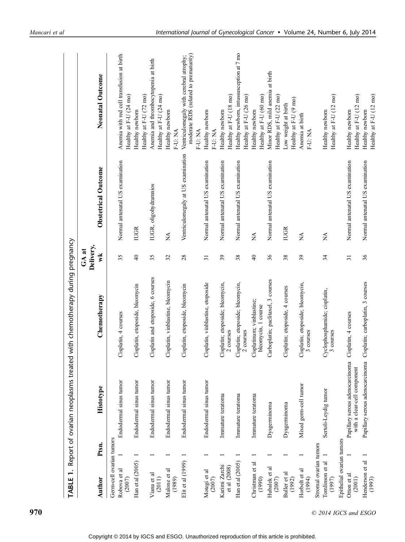| $\div$<br><b>TABLE</b>        | Report of ovarian neoplasms treated                            | with chemotherapy during pregnancy               |                 |                                    |                                                                                             |
|-------------------------------|----------------------------------------------------------------|--------------------------------------------------|-----------------|------------------------------------|---------------------------------------------------------------------------------------------|
|                               |                                                                |                                                  | $GA$ at         |                                    |                                                                                             |
| Ptsn.<br>Author               | Histotype                                                      | Chemotherapy                                     | Delivery,<br>wk | <b>Obstetrical Outcome</b>         | Neonatal Outcome                                                                            |
| Germ-cell ovarian tumors      |                                                                |                                                  |                 |                                    |                                                                                             |
| Robova et al<br>(2007)        | Endodermal sinus tumor                                         | Cisplatin, 4 courses                             | 35              | Normal antenatal US examination    | Anemia with red cell transfusion at birth<br>Healthy at F-U (24 mo)                         |
| Han et al (2005)              | Endodermal sinus tumor                                         | Cisplatin, etoposide, bleomycin                  | $\overline{4}$  | <b>IUGR</b>                        | Healthy newborn                                                                             |
| Viana et al<br>(2011)         | Endodermal sinus tumor                                         | Cisplatin and etoposide, 6 courses               | 35              | IUGR, oligohydramnios              | Anemia and thrombocytopenia at birth<br>Healthy at F-U (72 mo)<br>Healthy at F-U (24 mo)    |
| Malone et al<br>(1989)        | Endodermal sinus tumor                                         | Cisplatin, vinblastine, bleomycin                | 32              | ≸                                  | Healthy newborn<br>F-U: NA                                                                  |
| Elit et al (1999)             | Endodermal sinus tumor                                         | Cisplatin, etoposide, bleomycin                  | 28              | Ventriculomegaly at US examination | moderate RDS (related to prematurity)<br>Ventriculomegaly with cerebral atrophy;<br>F-U: NA |
| Motegi et al<br>(2007)        | Endodermal sinus tumor                                         | Cisplatin, vinblastine, etoposide                | $\overline{31}$ | Normal antenatal US examination    | Healthy newborn<br>F-U: NA                                                                  |
| Karimi Zarchi<br>et al (2008) | Immature teratoma                                              | Cisplatin; etoposide; bleomycin,<br>2 courses    | 39              | Normal antenatal US examination    | Healthy at F-U (18 mo)<br>Healthy newborn                                                   |
| Han et al (2005)              | Immature teratoma                                              | Cisplatin; etoposide; bleomycin,<br>2 courses    | 38              | Normal antenatal US examination    | Healthy newborn, intussusception at 7 mo<br>Healthy at F-U (26 mo)                          |
| Christman et al<br>(1990)     | Immature teratoma                                              | Cisplatinum; vinblastine;<br>bleomycin, 1 course | $\overline{4}$  | ¥                                  | Healthy at F-U (60 mo)<br>Healthy newborn                                                   |
| Hubalek et al<br>(2007)       | Dysgerminoma                                                   | Carboplatin; paclitaxel, 3 courses               | 36              | Normal antenatal US examination    | Minor RDS, mild anemia at birth<br>Healthy at F-U (22 mo)                                   |
| Buller et al<br>(1992)        | Dysgerminoma                                                   | Cisplatin; etoposide, 4 courses                  | 38              | <b>IUGR</b>                        | Healthy at F-U (9 mo)<br>Low weight at birth                                                |
| Horbelt et al<br>(1994)       | Mixed germ-cell tumor                                          | Cisplatin; etoposide; bleomycin,<br>3 courses    | 39              | Ź                                  | Anemia at birth<br>F-U: NA                                                                  |
| Stromal ovarian tumors        |                                                                |                                                  |                 |                                    |                                                                                             |
| Tomlinson et al<br>(1997)     | Sertoli-Leydig tumor                                           | Cyclophosphamide; cisplatin,<br>3 courses        | 34              | Á                                  | Healthy at F-U (12 mo)<br>Healthy newborn                                                   |
| Epithelial ovarian tumors     |                                                                |                                                  |                 |                                    |                                                                                             |
| Otton et al<br>(2001)         | Papillary serous adenocarcinoma<br>with a clear-cell component | Cisplatin, 4 courses                             | $\overline{31}$ | Normal antenatal US examination    | Healthy at F-U (12 mo)<br>Healthy newborn                                                   |
| Henderson et al<br>(1993)     | Papillary serous adenocarcinoma                                | Cisplatin; carboplatin, 3 courses                | 36              | Normal antenatal US examination    | Healthy at F-U (12 mo)<br>Healthy newborn                                                   |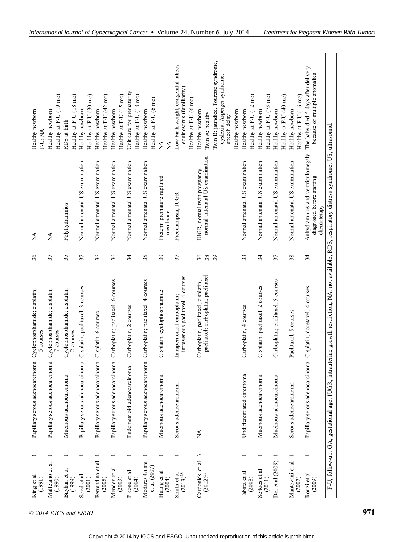| King et al<br>(1991)             |   | Papillary serous adenocarcinoma                           | Cyclophosphamide; cisplatin,<br>5 courses                                                                                                         | 36       | ₹                                                                             | Healthy newborn<br>F-U: NA                                                                              |
|----------------------------------|---|-----------------------------------------------------------|---------------------------------------------------------------------------------------------------------------------------------------------------|----------|-------------------------------------------------------------------------------|---------------------------------------------------------------------------------------------------------|
| Malfetano et al<br>(1990)        |   | $\overline{a}$<br>Papillary serous adenocarcinom          | Cyclophosphamide; cisplatin,<br>7 courses                                                                                                         | 37       | $\sum_{i=1}^{n}$                                                              | Healthy at F-U (19 mo)<br>Healthy newborn                                                               |
| Bayhan et al<br>(1999)           |   | Mucinous adenocarcinoma                                   | Cyclophosphamide; cisplatin,<br>2 courses                                                                                                         | 35       | Polyhydramnios                                                                | Healthy at F-U (18 mo)<br>RDS at birth                                                                  |
| Sood et al<br>(2001)             |   | $\overline{a}$<br>Papillary serous adenocarcinom          | Cisplatin; paclitaxel, 3 courses                                                                                                                  | 37       | Normal antenatal US examination                                               | Healthy at F-U (30 mo)<br>Healthy newborn                                                               |
| Ferrandina et al<br>(2005)       |   | Papillary serous adenocarcinoma                           | Cisplatin, 6 courses                                                                                                                              | 36       | Normal antenatal US examination                                               | Healthy at F-U (42 mo)<br>Healthy newborn                                                               |
| Mendez et al<br>(2003)           |   | Papillary serous adenocarcinoma                           | Carboplatin; paclitaxel, 6 courses                                                                                                                | 36       | Normal antenatal US examination                                               | Healthy at F-U (15 mo)<br>Healthy newborn                                                               |
| Picone et al<br>(2004)           |   | Endometrioid adenocarcinoma                               | Carboplatin, 2 courses                                                                                                                            | 34       | Normal antenatal US examination                                               | Unit care for prematurity<br>Healthy at F-U (18 mo)                                                     |
| Modares Gilani<br>et al (2007)   |   | $\overline{\mathbf{a}}$<br>Papillary serous adenocarcinom | Carboplatin; paclitaxel, 4 courses                                                                                                                | 35       | Normal antenatal US examination                                               | Healthy at F-U (6 mo)<br>Healthy newborn                                                                |
| Huang et al<br>(2004)            |   | Mucinous adenocarcinoma                                   | Cisplatin, cyclophosphamide                                                                                                                       | $30\,$   | Preterm premature ruptured<br>membrane                                        | Á<br>≸                                                                                                  |
| Smith et al<br>$(2013)^{28}$     |   | Serous adenocarcinoma                                     | intravenous paclitaxel, 4 courses<br>Intraperitoneal carboplatin;                                                                                 | 37       | Preeclampsia, IUGR                                                            | Low birth weight, congenital talipes<br>equinovarus (familiarity)<br>Healthy at $F-U$ (6 mo)            |
| Cardonick et al<br>$(2012)^{27}$ | 3 | ≸                                                         | paclitaxel; carboplatin, paclitaxel<br>Carboplatin, paclitaxel; cisplatin,                                                                        | 36<br>38 | normal antenatal US examination<br>IUGR, normal twin pregnancy,               | Healthy newborn<br>Twin A: healthy                                                                      |
|                                  |   |                                                           |                                                                                                                                                   | 39       |                                                                               | Twin B: jaundice, Tourette syndrome,<br>dyslexia, Asperger syndrome,<br>Healthy newborn<br>speech delay |
| Tabata et al<br>(2008)           |   | Undifferentiated carcinoma                                | Carboplatin, 4 courses                                                                                                                            | 33       | Normal antenatal US examination                                               | Healthy at F-U (12 mo)<br>Healthy newborn                                                               |
| Serkies et al<br>(2011)          |   | Mucinous adenocarcinoma                                   | Cisplatin; paclitaxel, 2 courses                                                                                                                  | 34       | Normal antenatal US examination                                               | Healthy at F-U (73 mo)<br>Healthy newborn                                                               |
| Doi et al (2009)                 |   | Mucinous adenocarcinoma                                   | Carboplatin; paclitaxel, 5 courses                                                                                                                | 37       | Normal antenatal US examination                                               | Healthy at F-U (40 mo)<br>Healthy newborn                                                               |
| Mantovani et al<br>(2007)        |   | Serous adenocarcinoma                                     | Paclitaxel, 5 courses                                                                                                                             | 38       | Normal antenatal US examination                                               | Healthy at F-U (16 mo)<br>Healthy newborn                                                               |
| Rouzi et al<br>(2009)            |   | $\overline{a}$<br>Papillary serous adenocarcinom          | Cisplatin; docetaxel, 4 courses                                                                                                                   | 34       | Anhydramnios and ventriculomegaly<br>diagnosed before starting<br>chemoterapy | The baby died 5 days after delivery<br>because of multiple anomalies                                    |
|                                  |   |                                                           | F-U, follow-up; GA, gestational age; IUGR, intrauterine growth restriction; NA, not available; RDS, respiratory distress syndrome; US, ultrasound |          |                                                                               |                                                                                                         |

 $\odot$  2014 IGCS and ESGO 971